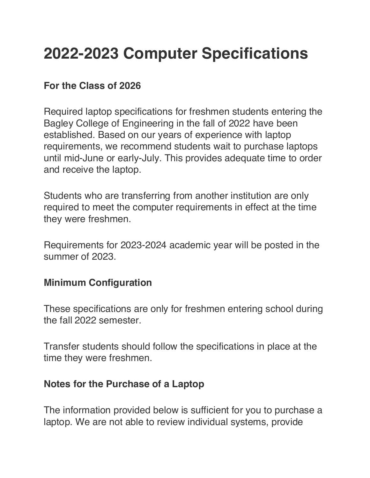### **2022-2023 Computer Specifications**

#### **For the Class of 2026**

Required laptop specifications for freshmen students entering the Bagley College of Engineering in the fall of 2022 have been established. Based on our years of experience with laptop requirements, we recommend students wait to purchase laptops until mid-June or early-July. This provides adequate time to order and receive the laptop.

Students who are transferring from another institution are only required to meet the computer requirements in effect at the time they were freshmen.

Requirements for 2023-2024 academic year will be posted in the summer of 2023.

#### **Minimum Configuration**

These specifications are only for freshmen entering school during the fall 2022 semester.

Transfer students should follow the specifications in place at the time they were freshmen.

#### **Notes for the Purchase of a Laptop**

The information provided below is sufficient for you to purchase a laptop. We are not able to review individual systems, provide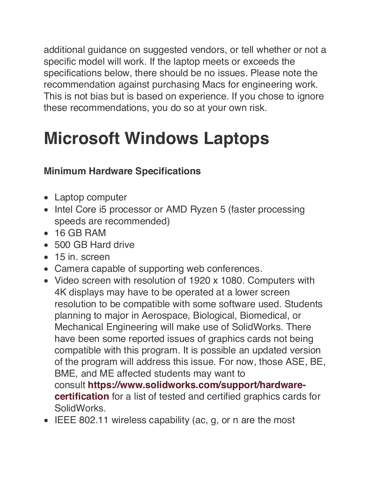additional guidance on suggested vendors, or tell whether or not a specific model will work. If the laptop meets or exceeds the specifications below, there should be no issues. Please note the recommendation against purchasing Macs for engineering work. This is not bias but is based on experience. If you chose to ignore these recommendations, you do so at your own risk.

### **Microsoft Windows Laptops**

### **Minimum Hardware Specifications**

- Laptop computer
- Intel Core i5 processor or AMD Ryzen 5 (faster processing speeds are recommended)
- 16 GB RAM
- 500 GB Hard drive
- 15 in. screen
- Camera capable of supporting web conferences.
- Video screen with resolution of 1920 x 1080. Computers with 4K displays may have to be operated at a lower screen resolution to be compatible with some software used. Students planning to major in Aerospace, Biological, Biomedical, or Mechanical Engineering will make use of SolidWorks. There have been some reported issues of graphics cards not being compatible with this program. It is possible an updated version of the program will address this issue. For now, those ASE, BE, BME, and ME affected students may want to consult **https://www.solidworks.com/support/hardwarecertification** for a list of tested and certified graphics cards for SolidWorks.
- IEEE 802.11 wireless capability (ac, g, or n are the most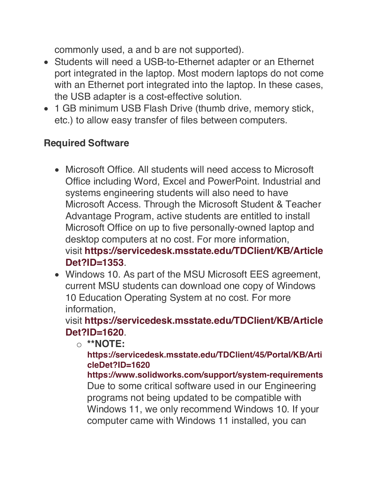commonly used, a and b are not supported).

- Students will need a USB-to-Ethernet adapter or an Ethernet port integrated in the laptop. Most modern laptops do not come with an Ethernet port integrated into the laptop. In these cases, the USB adapter is a cost-effective solution.
- 1 GB minimum USB Flash Drive (thumb drive, memory stick, etc.) to allow easy transfer of files between computers.

#### **Required Software**

- Microsoft Office. All students will need access to Microsoft Office including Word, Excel and PowerPoint. Industrial and systems engineering students will also need to have Microsoft Access. Through the Microsoft Student & Teacher Advantage Program, active students are entitled to install Microsoft Office on up to five personally-owned laptop and desktop computers at no cost. For more information, visit **https://servicedesk.msstate.edu/TDClient/KB/Article Det?ID=1353**.
- Windows 10. As part of the MSU Microsoft EES agreement, current MSU students can download one copy of Windows 10 Education Operating System at no cost. For more information,

visit **https://servicedesk.msstate.edu/TDClient/KB/Article Det?ID=1620**.

o **\*\*NOTE:**

**https://servicedesk.msstate.edu/TDClient/45/Portal/KB/Arti cleDet?ID=1620**

**https://www.solidworks.com/support/system-requirements** Due to some critical software used in our Engineering programs not being updated to be compatible with Windows 11, we only recommend Windows 10. If your computer came with Windows 11 installed, you can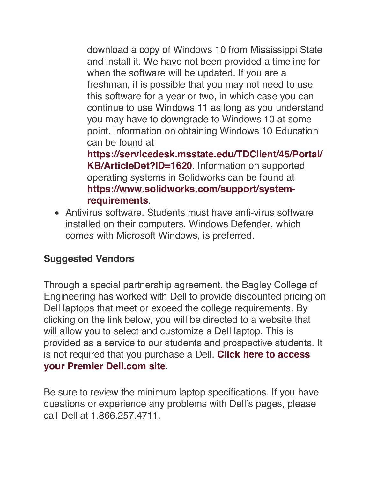download a copy of Windows 10 from Mississippi State and install it. We have not been provided a timeline for when the software will be updated. If you are a freshman, it is possible that you may not need to use this software for a year or two, in which case you can continue to use Windows 11 as long as you understand you may have to downgrade to Windows 10 at some point. Information on obtaining Windows 10 Education can be found at

**https://servicedesk.msstate.edu/TDClient/45/Portal/ KB/ArticleDet?ID=1620**. Information on supported operating systems in Solidworks can be found at **https://www.solidworks.com/support/systemrequirements**.

• Antivirus software. Students must have anti-virus software installed on their computers. Windows Defender, which comes with Microsoft Windows, is preferred.

#### **Suggested Vendors**

Through a special partnership agreement, the Bagley College of Engineering has worked with Dell to provide discounted pricing on Dell laptops that meet or exceed the college requirements. By clicking on the link below, you will be directed to a website that will allow you to select and customize a Dell laptop. This is provided as a service to our students and prospective students. It is not required that you purchase a Dell. **Click here to access your Premier Dell.com site**.

Be sure to review the minimum laptop specifications. If you have questions or experience any problems with Dell's pages, please call Dell at 1.866.257.4711.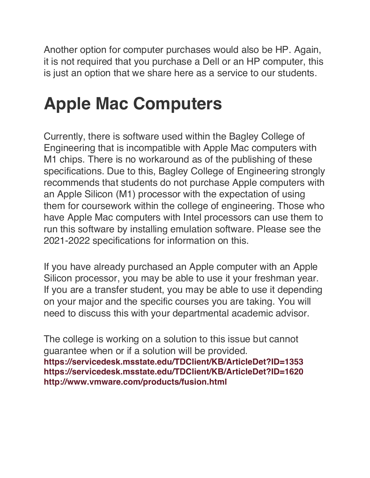Another option for computer purchases would also be HP. Again, it is not required that you purchase a Dell or an HP computer, this is just an option that we share here as a service to our students.

# **Apple Mac Computers**

Currently, there is software used within the Bagley College of Engineering that is incompatible with Apple Mac computers with M1 chips. There is no workaround as of the publishing of these specifications. Due to this, Bagley College of Engineering strongly recommends that students do not purchase Apple computers with an Apple Silicon (M1) processor with the expectation of using them for coursework within the college of engineering. Those who have Apple Mac computers with Intel processors can use them to run this software by installing emulation software. Please see the 2021-2022 specifications for information on this.

If you have already purchased an Apple computer with an Apple Silicon processor, you may be able to use it your freshman year. If you are a transfer student, you may be able to use it depending on your major and the specific courses you are taking. You will need to discuss this with your departmental academic advisor.

The college is working on a solution to this issue but cannot guarantee when or if a solution will be provided. **https://servicedesk.msstate.edu/TDClient/KB/ArticleDet?ID=1353 https://servicedesk.msstate.edu/TDClient/KB/ArticleDet?ID=1620 http://www.vmware.com/products/fusion.html**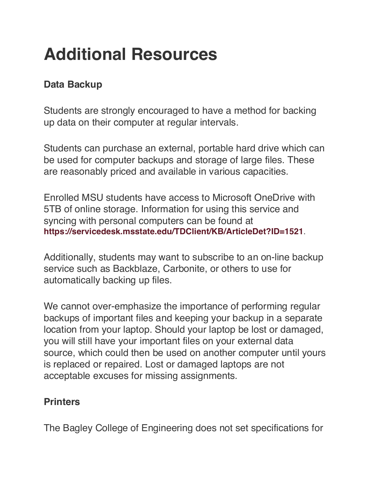# **Additional Resources**

### **Data Backup**

Students are strongly encouraged to have a method for backing up data on their computer at regular intervals.

Students can purchase an external, portable hard drive which can be used for computer backups and storage of large files. These are reasonably priced and available in various capacities.

Enrolled MSU students have access to Microsoft OneDrive with 5TB of online storage. Information for using this service and syncing with personal computers can be found at **https://servicedesk.msstate.edu/TDClient/KB/ArticleDet?ID=1521**.

Additionally, students may want to subscribe to an on-line backup service such as Backblaze, Carbonite, or others to use for automatically backing up files.

We cannot over-emphasize the importance of performing regular backups of important files and keeping your backup in a separate location from your laptop. Should your laptop be lost or damaged, you will still have your important files on your external data source, which could then be used on another computer until yours is replaced or repaired. Lost or damaged laptops are not acceptable excuses for missing assignments.

#### **Printers**

The Bagley College of Engineering does not set specifications for